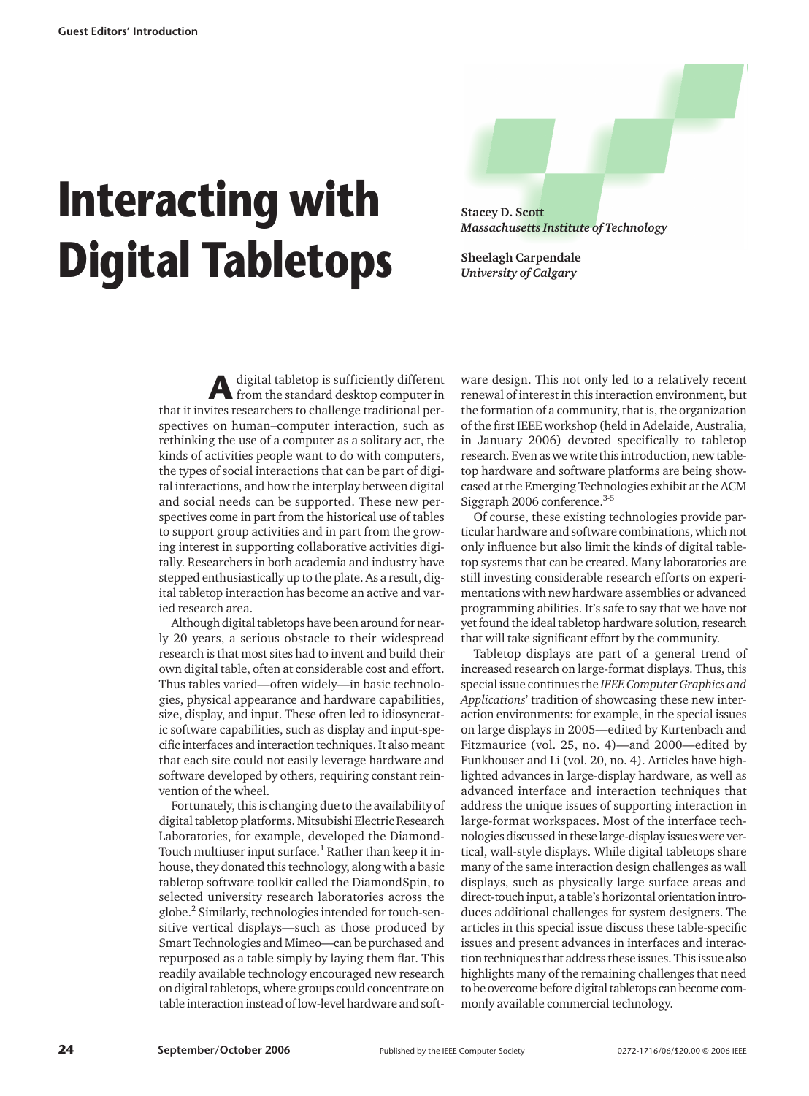# **Interacting with Digital Tabletops**

**Stacey D. Scott** *Massachusetts Institute of Technology*

**Sheelagh Carpendale** *University of Calgary*

**A**digital tabletop is sufficiently different from the standard desktop computer in that it invites researchers to challenge traditional perspectives on human–computer interaction, such as rethinking the use of a computer as a solitary act, the kinds of activities people want to do with computers, the types of social interactions that can be part of digital interactions, and how the interplay between digital and social needs can be supported. These new perspectives come in part from the historical use of tables to support group activities and in part from the growing interest in supporting collaborative activities digitally. Researchers in both academia and industry have stepped enthusiastically up to the plate. As a result, digital tabletop interaction has become an active and varied research area.

Although digital tabletops have been around for nearly 20 years, a serious obstacle to their widespread research is that most sites had to invent and build their own digital table, often at considerable cost and effort. Thus tables varied—often widely—in basic technologies, physical appearance and hardware capabilities, size, display, and input. These often led to idiosyncratic software capabilities, such as display and input-specific interfaces and interaction techniques. It also meant that each site could not easily leverage hardware and software developed by others, requiring constant reinvention of the wheel.

Fortunately, this is changing due to the availability of digital tabletop platforms. Mitsubishi Electric Research Laboratories, for example, developed the Diamond-Touch multiuser input surface.<sup>1</sup> Rather than keep it inhouse, they donated this technology, along with a basic tabletop software toolkit called the DiamondSpin, to selected university research laboratories across the globe.<sup>2</sup> Similarly, technologies intended for touch-sensitive vertical displays—such as those produced by Smart Technologies and Mimeo—can be purchased and repurposed as a table simply by laying them flat. This readily available technology encouraged new research on digital tabletops, where groups could concentrate on table interaction instead of low-level hardware and software design. This not only led to a relatively recent renewal of interest in this interaction environment, but the formation of a community, that is, the organization of the first IEEE workshop (held in Adelaide, Australia, in January 2006) devoted specifically to tabletop research. Even as we write this introduction, new tabletop hardware and software platforms are being showcased at the Emerging Technologies exhibit at the ACM Siggraph 2006 conference.<sup>3-5</sup>

Of course, these existing technologies provide particular hardware and software combinations, which not only influence but also limit the kinds of digital tabletop systems that can be created. Many laboratories are still investing considerable research efforts on experimentations with new hardware assemblies or advanced programming abilities. It's safe to say that we have not yet found the ideal tabletop hardware solution, research that will take significant effort by the community.

Tabletop displays are part of a general trend of increased research on large-format displays. Thus, this special issue continues the *IEEE Computer Graphics and Applications*' tradition of showcasing these new interaction environments: for example, in the special issues on large displays in 2005—edited by Kurtenbach and Fitzmaurice (vol. 25, no. 4)—and 2000—edited by Funkhouser and Li (vol. 20, no. 4). Articles have highlighted advances in large-display hardware, as well as advanced interface and interaction techniques that address the unique issues of supporting interaction in large-format workspaces. Most of the interface technologies discussed in these large-display issues were vertical, wall-style displays. While digital tabletops share many of the same interaction design challenges as wall displays, such as physically large surface areas and direct-touch input, a table's horizontal orientation introduces additional challenges for system designers. The articles in this special issue discuss these table-specific issues and present advances in interfaces and interaction techniques that address these issues. This issue also highlights many of the remaining challenges that need to be overcome before digital tabletops can become commonly available commercial technology.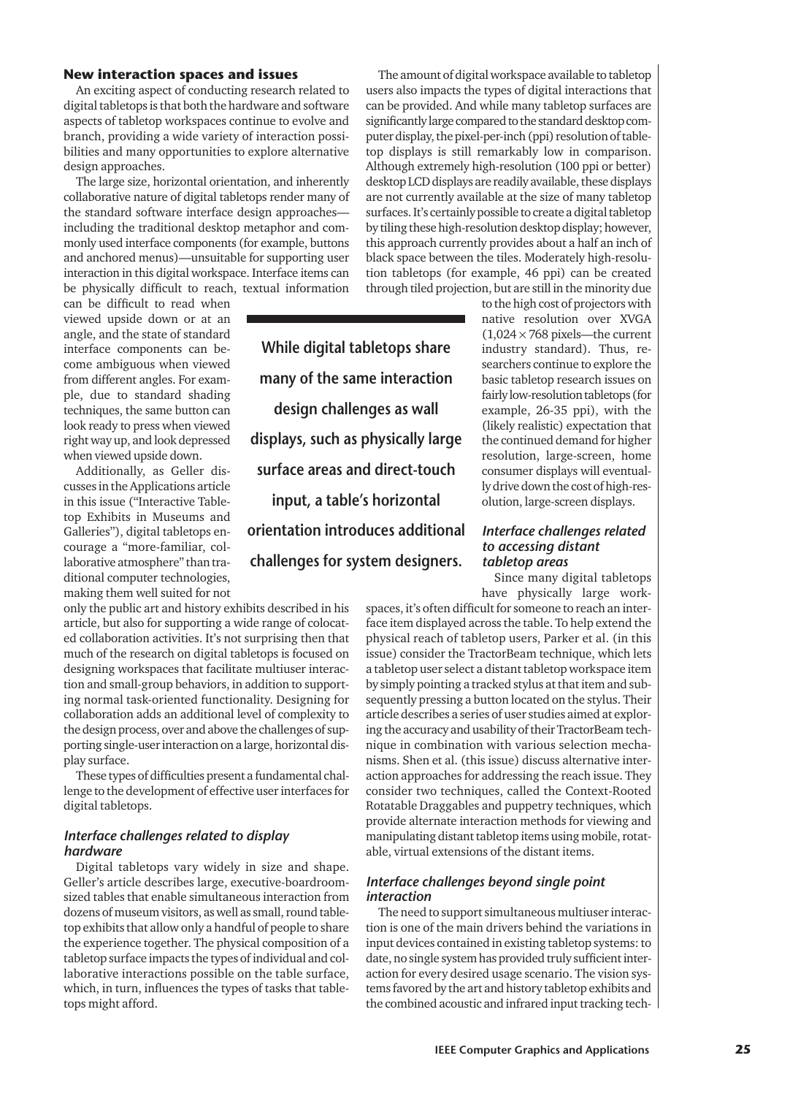### **New interaction spaces and issues**

An exciting aspect of conducting research related to digital tabletops is that both the hardware and software aspects of tabletop workspaces continue to evolve and branch, providing a wide variety of interaction possibilities and many opportunities to explore alternative design approaches.

The large size, horizontal orientation, and inherently collaborative nature of digital tabletops render many of the standard software interface design approaches including the traditional desktop metaphor and commonly used interface components (for example, buttons and anchored menus)—unsuitable for supporting user interaction in this digital workspace. Interface items can be physically difficult to reach, textual information

can be difficult to read when viewed upside down or at an angle, and the state of standard interface components can become ambiguous when viewed from different angles. For example, due to standard shading techniques, the same button can look ready to press when viewed right way up, and look depressed when viewed upside down.

Additionally, as Geller discusses in the Applications article in this issue ("Interactive Tabletop Exhibits in Museums and Galleries"), digital tabletops encourage a "more-familiar, collaborative atmosphere" than traditional computer technologies, making them well suited for not

only the public art and history exhibits described in his article, but also for supporting a wide range of colocated collaboration activities. It's not surprising then that much of the research on digital tabletops is focused on designing workspaces that facilitate multiuser interaction and small-group behaviors, in addition to supporting normal task-oriented functionality. Designing for collaboration adds an additional level of complexity to the design process, over and above the challenges of supporting single-user interaction on a large, horizontal display surface.

These types of difficulties present a fundamental challenge to the development of effective user interfaces for digital tabletops.

## *Interface challenges related to display hardware*

Digital tabletops vary widely in size and shape. Geller's article describes large, executive-boardroomsized tables that enable simultaneous interaction from dozens of museum visitors, as well as small, round tabletop exhibits that allow only a handful of people to share the experience together. The physical composition of a tabletop surface impacts the types of individual and collaborative interactions possible on the table surface, which, in turn, influences the types of tasks that tabletops might afford.

**While digital tabletops share many of the same interaction design challenges as wall displays, such as physically large surface areas and direct-touch input, a table's horizontal orientation introduces additional**

**challenges for system designers.**

The amount of digital workspace available to tabletop users also impacts the types of digital interactions that can be provided. And while many tabletop surfaces are significantly large compared to the standard desktop computer display, the pixel-per-inch (ppi) resolution of tabletop displays is still remarkably low in comparison. Although extremely high-resolution (100 ppi or better) desktop LCD displays are readily available, these displays are not currently available at the size of many tabletop surfaces. It's certainly possible to create a digital tabletop by tiling these high-resolution desktop display; however, this approach currently provides about a half an inch of black space between the tiles. Moderately high-resolution tabletops (for example, 46 ppi) can be created through tiled projection, but are still in the minority due

> to the high cost of projectors with native resolution over XVGA  $(1,024 \times 768 \text{ pixels}$ —the current industry standard). Thus, researchers continue to explore the basic tabletop research issues on fairly low-resolution tabletops (for example, 26-35 ppi), with the (likely realistic) expectation that the continued demand for higher resolution, large-screen, home consumer displays will eventually drive down the cost of high-resolution, large-screen displays.

## *Interface challenges related to accessing distant tabletop areas*

Since many digital tabletops have physically large work-

spaces, it's often difficult for someone to reach an interface item displayed across the table. To help extend the physical reach of tabletop users, Parker et al. (in this issue) consider the TractorBeam technique, which lets a tabletop user select a distant tabletop workspace item by simply pointing a tracked stylus at that item and subsequently pressing a button located on the stylus. Their article describes a series of user studies aimed at exploring the accuracy and usability of their TractorBeam technique in combination with various selection mechanisms. Shen et al. (this issue) discuss alternative interaction approaches for addressing the reach issue. They consider two techniques, called the Context-Rooted Rotatable Draggables and puppetry techniques, which provide alternate interaction methods for viewing and manipulating distant tabletop items using mobile, rotatable, virtual extensions of the distant items.

# *Interface challenges beyond single point interaction*

The need to support simultaneous multiuser interaction is one of the main drivers behind the variations in input devices contained in existing tabletop systems: to date, no single system has provided truly sufficient interaction for every desired usage scenario. The vision systems favored by the art and history tabletop exhibits and the combined acoustic and infrared input tracking tech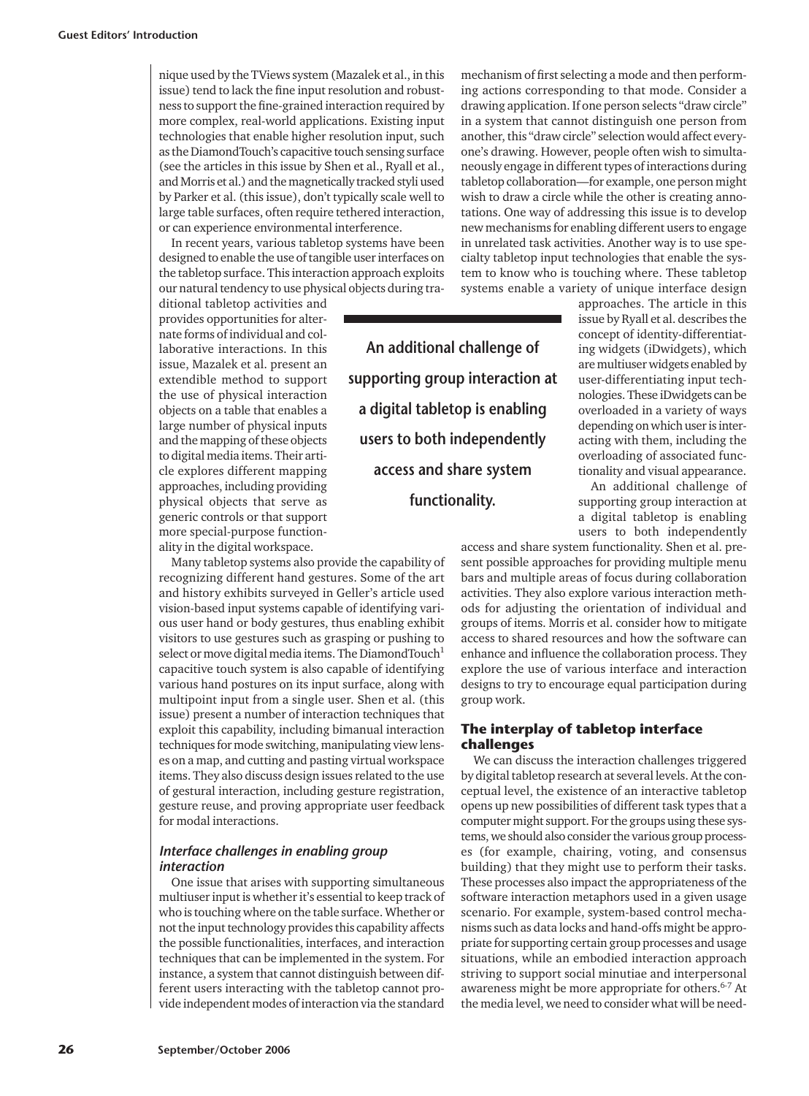nique used by the TViews system (Mazalek et al., in this issue) tend to lack the fine input resolution and robustness to support the fine-grained interaction required by more complex, real-world applications. Existing input technologies that enable higher resolution input, such as the DiamondTouch's capacitive touch sensing surface (see the articles in this issue by Shen et al., Ryall et al., and Morris et al.) and the magnetically tracked styli used by Parker et al. (this issue), don't typically scale well to large table surfaces, often require tethered interaction, or can experience environmental interference.

In recent years, various tabletop systems have been designed to enable the use of tangible user interfaces on the tabletop surface. This interaction approach exploits our natural tendency to use physical objects during tra-

ditional tabletop activities and provides opportunities for alternate forms of individual and collaborative interactions. In this issue, Mazalek et al. present an extendible method to support the use of physical interaction objects on a table that enables a large number of physical inputs and the mapping of these objects to digital media items. Their article explores different mapping approaches, including providing physical objects that serve as generic controls or that support more special-purpose functionality in the digital workspace.

Many tabletop systems also provide the capability of recognizing different hand gestures. Some of the art and history exhibits surveyed in Geller's article used vision-based input systems capable of identifying various user hand or body gestures, thus enabling exhibit visitors to use gestures such as grasping or pushing to select or move digital media items. The DiamondTouch<sup>1</sup> capacitive touch system is also capable of identifying various hand postures on its input surface, along with multipoint input from a single user. Shen et al. (this issue) present a number of interaction techniques that exploit this capability, including bimanual interaction techniques for mode switching, manipulating view lenses on a map, and cutting and pasting virtual workspace items. They also discuss design issues related to the use of gestural interaction, including gesture registration, gesture reuse, and proving appropriate user feedback for modal interactions.

## *Interface challenges in enabling group interaction*

One issue that arises with supporting simultaneous multiuser input is whether it's essential to keep track of who is touching where on the table surface. Whether or not the input technology provides this capability affects the possible functionalities, interfaces, and interaction techniques that can be implemented in the system. For instance, a system that cannot distinguish between different users interacting with the tabletop cannot provide independent modes of interaction via the standard

mechanism of first selecting a mode and then performing actions corresponding to that mode. Consider a drawing application. If one person selects "draw circle" in a system that cannot distinguish one person from another, this "draw circle" selection would affect everyone's drawing. However, people often wish to simultaneously engage in different types of interactions during tabletop collaboration—for example, one person might wish to draw a circle while the other is creating annotations. One way of addressing this issue is to develop new mechanisms for enabling different users to engage in unrelated task activities. Another way is to use specialty tabletop input technologies that enable the system to know who is touching where. These tabletop systems enable a variety of unique interface design

**An additional challenge of supporting group interaction at a digital tabletop is enabling users to both independently access and share system functionality.**

approaches. The article in this issue by Ryall et al. describes the concept of identity-differentiating widgets (iDwidgets), which are multiuser widgets enabled by user-differentiating input technologies. These iDwidgets can be overloaded in a variety of ways depending on which user is interacting with them, including the overloading of associated functionality and visual appearance.

An additional challenge of supporting group interaction at a digital tabletop is enabling users to both independently

access and share system functionality. Shen et al. present possible approaches for providing multiple menu bars and multiple areas of focus during collaboration activities. They also explore various interaction methods for adjusting the orientation of individual and groups of items. Morris et al. consider how to mitigate access to shared resources and how the software can enhance and influence the collaboration process. They explore the use of various interface and interaction designs to try to encourage equal participation during group work.

## **The interplay of tabletop interface challenges**

We can discuss the interaction challenges triggered by digital tabletop research at several levels. At the conceptual level, the existence of an interactive tabletop opens up new possibilities of different task types that a computer might support. For the groups using these systems, we should also consider the various group processes (for example, chairing, voting, and consensus building) that they might use to perform their tasks. These processes also impact the appropriateness of the software interaction metaphors used in a given usage scenario. For example, system-based control mechanisms such as data locks and hand-offs might be appropriate for supporting certain group processes and usage situations, while an embodied interaction approach striving to support social minutiae and interpersonal awareness might be more appropriate for others.<sup>6-7</sup> At the media level, we need to consider what will be need